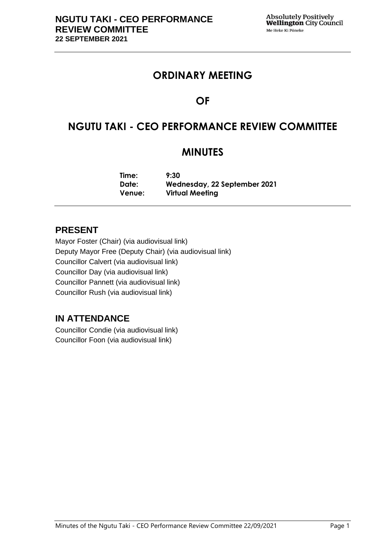# **ORDINARY MEETING**

# **OF**

# **NGUTU TAKI - CEO PERFORMANCE REVIEW COMMITTEE**

# **MINUTES**

**Time: 9:30 Date: Wednesday, 22 September 2021 Venue: Virtual Meeting**

## **PRESENT**

Mayor Foster (Chair) (via audiovisual link) Deputy Mayor Free (Deputy Chair) (via audiovisual link) Councillor Calvert (via audiovisual link) Councillor Day (via audiovisual link) Councillor Pannett (via audiovisual link) Councillor Rush (via audiovisual link)

## **IN ATTENDANCE**

Councillor Condie (via audiovisual link) Councillor Foon (via audiovisual link)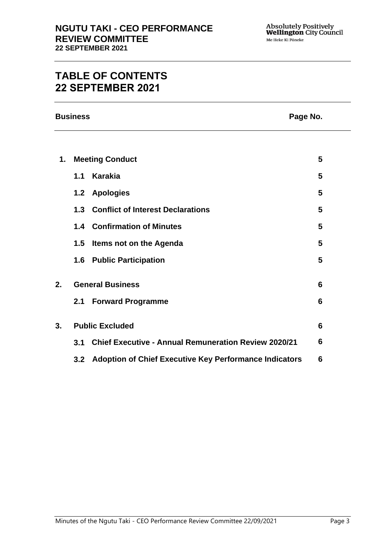# **TABLE OF CONTENTS 22 SEPTEMBER 2021**

**Business Page No.**

| 1. | <b>Meeting Conduct</b>  |                                                             | 5               |  |
|----|-------------------------|-------------------------------------------------------------|-----------------|--|
|    | 1.1                     | <b>Karakia</b>                                              | 5               |  |
|    | 1.2                     | <b>Apologies</b>                                            | 5               |  |
|    | 1.3                     | <b>Conflict of Interest Declarations</b>                    | 5               |  |
|    | 1.4                     | <b>Confirmation of Minutes</b>                              | 5               |  |
|    | $1.5\,$                 | Items not on the Agenda                                     | 5               |  |
|    | 1.6                     | <b>Public Participation</b>                                 | 5               |  |
| 2. | <b>General Business</b> |                                                             | $6\phantom{1}6$ |  |
|    | 2.1                     | <b>Forward Programme</b>                                    | $6\phantom{1}6$ |  |
| 3. | $6\phantom{1}6$         |                                                             |                 |  |
|    | <b>Public Excluded</b>  |                                                             |                 |  |
|    | 3.1                     | <b>Chief Executive - Annual Remuneration Review 2020/21</b> | 6               |  |
|    |                         | 3.2 Adoption of Chief Executive Key Performance Indicators  | $6\phantom{1}6$ |  |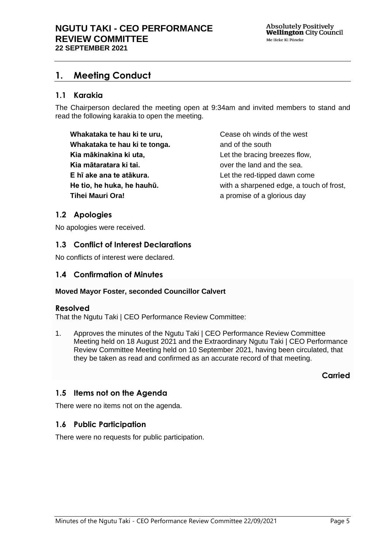## <span id="page-4-0"></span>**1. Meeting Conduct**

### **1.1 Karakia**

The Chairperson declared the meeting open at 9:34am and invited members to stand and read the following karakia to open the meeting.

**Whakataka te hau ki te uru, Whakataka te hau ki te tonga. Kia mākinakina ki uta, Kia mātaratara ki tai. E hī ake ana te atākura. He tio, he huka, he hauhū. Tihei Mauri Ora!**

Cease oh winds of the west and of the south Let the bracing breezes flow, over the land and the sea. Let the red-tipped dawn come with a sharpened edge, a touch of frost, a promise of a glorious day

### <span id="page-4-1"></span>**1.2 Apologies**

No apologies were received.

## <span id="page-4-2"></span>**1.3 Conflict of Interest Declarations**

No conflicts of interest were declared.

### <span id="page-4-3"></span>**1.4 Confirmation of Minutes**

#### **Moved Mayor Foster, seconded Councillor Calvert**

### **Resolved**

That the Ngutu Taki | CEO Performance Review Committee:

1. Approves the minutes of the Ngutu Taki | CEO Performance Review Committee Meeting held on 18 August 2021 and the Extraordinary Ngutu Taki | CEO Performance Review Committee Meeting held on 10 September 2021, having been circulated, that they be taken as read and confirmed as an accurate record of that meeting.

**Carried**

## <span id="page-4-4"></span>**1.5 Items not on the Agenda**

There were no items not on the agenda.

### **1.6 Public Participation**

There were no requests for public participation.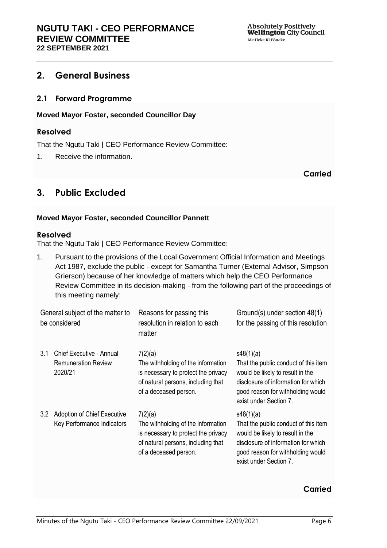Absolutely Positively<br>Wellington City Council Me Heke Ki Pöneke

## <span id="page-5-0"></span>**2. General Business**

#### <span id="page-5-1"></span>**2.1 Forward Programme**

#### **Moved Mayor Foster, seconded Councillor Day**

#### **Resolved**

That the Ngutu Taki | CEO Performance Review Committee:

1. Receive the information.

#### **Carried**

## <span id="page-5-2"></span>**3. Public Excluded**

#### **Moved Mayor Foster, seconded Councillor Pannett**

#### **Resolved**

That the Ngutu Taki | CEO Performance Review Committee:

1. Pursuant to the provisions of the Local Government Official Information and Meetings Act 1987, exclude the public - except for Samantha Turner (External Advisor, Simpson Grierson) because of her knowledge of matters which help the CEO Performance Review Committee in its decision-making - from the following part of the proceedings of this meeting namely:

| General subject of the matter to<br>be considered |                                                                          | Reasons for passing this<br>resolution in relation to each<br>matter                                                                                | Ground(s) under section 48(1)<br>for the passing of this resolution                                                                                                                         |
|---------------------------------------------------|--------------------------------------------------------------------------|-----------------------------------------------------------------------------------------------------------------------------------------------------|---------------------------------------------------------------------------------------------------------------------------------------------------------------------------------------------|
| 3.1                                               | <b>Chief Executive - Annual</b><br><b>Remuneration Review</b><br>2020/21 | 7(2)(a)<br>The withholding of the information<br>is necessary to protect the privacy<br>of natural persons, including that<br>of a deceased person. | s48(1)(a)<br>That the public conduct of this item<br>would be likely to result in the<br>disclosure of information for which<br>good reason for withholding would<br>exist under Section 7. |
| 3.2                                               | Adoption of Chief Executive<br>Key Performance Indicators                | 7(2)(a)<br>The withholding of the information<br>is necessary to protect the privacy<br>of natural persons, including that<br>of a deceased person. | s48(1)(a)<br>That the public conduct of this item<br>would be likely to result in the<br>disclosure of information for which<br>good reason for withholding would<br>exist under Section 7. |

#### **Carried**